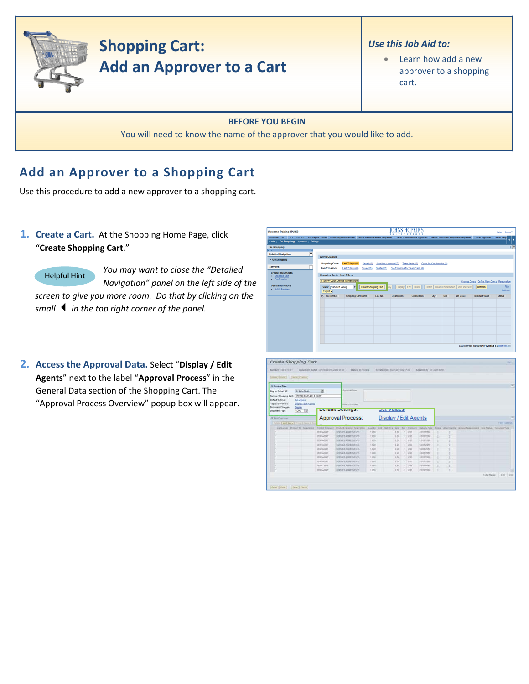

# **Shopping Cart: Add an Approver to a Cart**

#### *Use this Job Aid to:*

• Learn how add a new approver to a shopping cart.

#### **BEFORE YOU BEGIN**

You will need to know the name of the approver that you would like to add.

## **Add an Approver to a Shopping Cart**

Use this procedure to add a new approver to a shopping cart.

### **1. Create a Cart.** At the Shopping Home Page, click "**Create Shopping Cart**."

Helpful Hint

*You may want to close the "Detailed Navigation" panel on the left side of the screen to give you more room. Do that by clicking on the smallin the top right corner of the panel.*

**2. Access the Approval Data.** Select "**Display / Edit Agents**" next to the label "**Approval Process**" in the General Data section of the Shopping Cart. The "Approval Process Overview" popup box will appear.

| Welcome Training UPUR60                             |                                                 |                             |                                                                                                                                                                                                |                          |                                                                          |                | <b>OHNS HOPKINS</b>                                                          |               |      |                  |                                                        |                      |
|-----------------------------------------------------|-------------------------------------------------|-----------------------------|------------------------------------------------------------------------------------------------------------------------------------------------------------------------------------------------|--------------------------|--------------------------------------------------------------------------|----------------|------------------------------------------------------------------------------|---------------|------|------------------|--------------------------------------------------------|----------------------|
|                                                     |                                                 |                             | Welcome ECC ECC - MACOS BW Report Center Online Payment Request Travel Reimbursement Requester Travel Administrative Approver Travel Concurrent Employed Requester Travel Approver Travel Requ |                          |                                                                          |                |                                                                              |               |      |                  |                                                        |                      |
|                                                     | Alerts   Go Shopping   Approval   Settings      |                             |                                                                                                                                                                                                |                          |                                                                          |                |                                                                              |               |      |                  |                                                        |                      |
| Go Shopping                                         |                                                 |                             |                                                                                                                                                                                                |                          |                                                                          |                |                                                                              |               |      |                  |                                                        |                      |
| <b>KTKT</b><br><b>Detailed Navigation</b>           |                                                 |                             |                                                                                                                                                                                                |                          |                                                                          |                |                                                                              |               |      |                  |                                                        |                      |
| · Go Shopping                                       |                                                 | <b>Active Queries</b>       |                                                                                                                                                                                                |                          |                                                                          |                |                                                                              |               |      |                  |                                                        |                      |
|                                                     |                                                 | <b>Shopping Carts</b>       | Last 7 Days (0)                                                                                                                                                                                |                          | Saved (0) Awalting Approval (0) Team Carts (0) Open for Confirmation (0) |                |                                                                              |               |      |                  |                                                        |                      |
| <b>Services</b>                                     | ۳                                               | Confirmations               |                                                                                                                                                                                                |                          | Last 7 Days (0) Saved (0) Deleted (0) Confirmations for Team Carts (0)   |                |                                                                              |               |      |                  |                                                        |                      |
| <b>Create Documents</b>                             |                                                 |                             |                                                                                                                                                                                                |                          |                                                                          |                |                                                                              |               |      |                  |                                                        |                      |
| Shopping Card<br>Confirmation                       |                                                 |                             | Shopping Carts - Last 7 Days                                                                                                                                                                   |                          |                                                                          |                |                                                                              |               |      |                  |                                                        |                      |
|                                                     |                                                 |                             | > Show Quick Criteria Maintenance                                                                                                                                                              |                          |                                                                          |                |                                                                              |               |      |                  | Change Query Define New Query Personalize              |                      |
| <b>Central Functions</b><br><b>Notify Recipient</b> |                                                 |                             | View [Standard View]<br>E                                                                                                                                                                      | Create Shopping Cart     |                                                                          |                | py   Display   Edit   Delete     Order   Create Confirmation   Print Preview |               |      |                  | Refresh                                                | Fiter                |
|                                                     |                                                 | Export a                    |                                                                                                                                                                                                |                          |                                                                          |                |                                                                              |               |      |                  |                                                        | Settings             |
|                                                     |                                                 | <b>B</b> SC Number          | Shopping Cart Name                                                                                                                                                                             |                          | Line No.<br><b>Description</b>                                           |                | Created On                                                                   | City          | Unit | <b>Net Value</b> | <b>Total Net Value</b>                                 | Status               |
|                                                     |                                                 |                             |                                                                                                                                                                                                |                          |                                                                          |                |                                                                              |               |      |                  |                                                        |                      |
|                                                     |                                                 |                             |                                                                                                                                                                                                |                          |                                                                          |                |                                                                              |               |      |                  |                                                        |                      |
|                                                     |                                                 |                             |                                                                                                                                                                                                |                          |                                                                          |                |                                                                              |               |      |                  |                                                        |                      |
|                                                     |                                                 |                             |                                                                                                                                                                                                |                          |                                                                          |                |                                                                              |               |      |                  |                                                        |                      |
|                                                     |                                                 |                             |                                                                                                                                                                                                |                          |                                                                          |                |                                                                              |               |      |                  |                                                        |                      |
|                                                     |                                                 |                             |                                                                                                                                                                                                |                          |                                                                          |                |                                                                              |               |      |                  |                                                        |                      |
|                                                     |                                                 |                             |                                                                                                                                                                                                |                          |                                                                          |                |                                                                              |               |      |                  |                                                        |                      |
|                                                     |                                                 |                             |                                                                                                                                                                                                |                          |                                                                          |                |                                                                              |               |      |                  |                                                        |                      |
|                                                     |                                                 |                             |                                                                                                                                                                                                |                          |                                                                          |                |                                                                              |               |      |                  |                                                        |                      |
|                                                     |                                                 |                             |                                                                                                                                                                                                |                          |                                                                          |                |                                                                              |               |      |                  |                                                        |                      |
|                                                     |                                                 |                             |                                                                                                                                                                                                |                          |                                                                          |                |                                                                              |               |      |                  |                                                        |                      |
|                                                     |                                                 |                             |                                                                                                                                                                                                |                          |                                                                          |                |                                                                              |               |      |                  |                                                        |                      |
|                                                     | Create Shopping Cart                            |                             |                                                                                                                                                                                                |                          |                                                                          |                |                                                                              |               |      |                  | Last Refresh 03/30/2010 12:04:31 EST Refresh (2)       |                      |
|                                                     | Document Name: UPURED ESQ10210 05:37            |                             |                                                                                                                                                                                                | <b>Status</b> In Process | Created On 53/21/2019 19:37:18                                           |                | Created By Dr. John Smith                                                    |               |      |                  |                                                        |                      |
| Namber 102127231<br>Drist Cline   Bave   Davis      |                                                 |                             |                                                                                                                                                                                                |                          |                                                                          |                |                                                                              |               |      |                  |                                                        |                      |
| Ceneral Data                                        |                                                 |                             | <b>Amongola Tinha</b>                                                                                                                                                                          |                          |                                                                          |                |                                                                              |               |      |                  |                                                        |                      |
| Buy on Behalf Of                                    | Dr. John Smith                                  | ы                           |                                                                                                                                                                                                |                          |                                                                          |                |                                                                              |               |      |                  |                                                        |                      |
|                                                     | Name of Shopping Cart: UPURED 63/31/2010 09:37  |                             |                                                                                                                                                                                                |                          |                                                                          |                |                                                                              |               |      |                  |                                                        |                      |
| <b>Default Settings:</b>                            | <b>Set Values</b>                               |                             |                                                                                                                                                                                                |                          |                                                                          |                |                                                                              |               |      |                  |                                                        |                      |
| Approval Process:<br><b>Document Changes:</b>       | Depart (Lot Agents<br>Created                   |                             | tate to Suppler                                                                                                                                                                                |                          |                                                                          |                |                                                                              |               |      |                  |                                                        |                      |
|                                                     | toro [7]                                        |                             | Detault Settings.                                                                                                                                                                              |                          | <b>Jot Values</b>                                                        |                |                                                                              |               |      |                  |                                                        |                      |
|                                                     |                                                 |                             |                                                                                                                                                                                                |                          |                                                                          |                |                                                                              |               |      |                  |                                                        |                      |
| <b>Document Type:</b><br>* for Dynastic             |                                                 |                             | Approval Process:                                                                                                                                                                              |                          | Display / Edit Agents                                                    |                |                                                                              |               |      |                  |                                                        |                      |
| Delain   Add box 4   Core   Fees                    |                                                 |                             |                                                                                                                                                                                                |                          |                                                                          |                |                                                                              |               |      |                  |                                                        |                      |
|                                                     | Leathinser Product D Cescrater Product Category |                             | Product Catagory Deacretive                                                                                                                                                                    | Downty:                  | Unit Hat Presi Link Per Currency Datery Date                             |                |                                                                              | <b>Norwal</b> |      |                  | Attorneys Account Assignment Ben Status : DeponentType |                      |
|                                                     |                                                 | SERVADAT                    | <b>SERVICE ADRESSENTS</b>                                                                                                                                                                      | 1,000                    | 0.00                                                                     | 11100          | 03/31/2010                                                                   |               |      |                  |                                                        |                      |
|                                                     |                                                 | <b>SERVAGNY</b>             | <b>BERVEE ADRESSENTS</b>                                                                                                                                                                       | 1,000                    | 8.00                                                                     | 1:100          | 03/21/2010                                                                   | ٠             |      |                  |                                                        |                      |
|                                                     |                                                 | SERVADIST                   | SERVICE ASPECUENTS                                                                                                                                                                             | 1,003                    | 8.00                                                                     | 1.150          | 03/31/2210                                                                   |               |      |                  |                                                        |                      |
|                                                     |                                                 | SERVADIST                   | <b>SERVICE AGREEMENTS</b>                                                                                                                                                                      | 1.600                    | 0.00                                                                     | 1.100          | 03/31/2010                                                                   |               |      |                  |                                                        |                      |
|                                                     |                                                 | SERVAGNT                    | <b>GERVICE AGREEMENTS:</b>                                                                                                                                                                     | 1,000                    | 0.00                                                                     | $f$ is $50$    | 03/21/2010                                                                   |               |      |                  |                                                        |                      |
|                                                     |                                                 |                             |                                                                                                                                                                                                |                          |                                                                          |                |                                                                              |               |      |                  |                                                        |                      |
|                                                     |                                                 | <b>SERVAGET</b>             | <b>BERVICE ASSESSEDITS</b>                                                                                                                                                                     | 1.000                    | 8.00                                                                     | $(1)$ 41525    | <b>ESD10010</b>                                                              |               |      |                  |                                                        |                      |
|                                                     |                                                 | SERVAGNT                    | SERVICE ADRESSENTS                                                                                                                                                                             | 1.000                    | 9.00                                                                     | 1. USD         | 63312210                                                                     |               |      |                  |                                                        |                      |
|                                                     |                                                 | <b>SERVADAT</b>             | <b>SERVICE AGREEMENTS</b>                                                                                                                                                                      | 1.979                    | 2.02                                                                     | 1:150          | 11/11/2010                                                                   | ï             | x    |                  |                                                        | <b>Tilet Settide</b> |
|                                                     |                                                 | <b>SERVAGNY</b><br>SERVAGNT | SERVICE AGREEMENTS<br>SERVICE AGREEMENTS                                                                                                                                                       | 1,000<br>1,000           | 3.00<br>8.00                                                             | 1 950<br>11100 | stoughts<br>83/31/2810                                                       |               | ٠    |                  |                                                        |                      |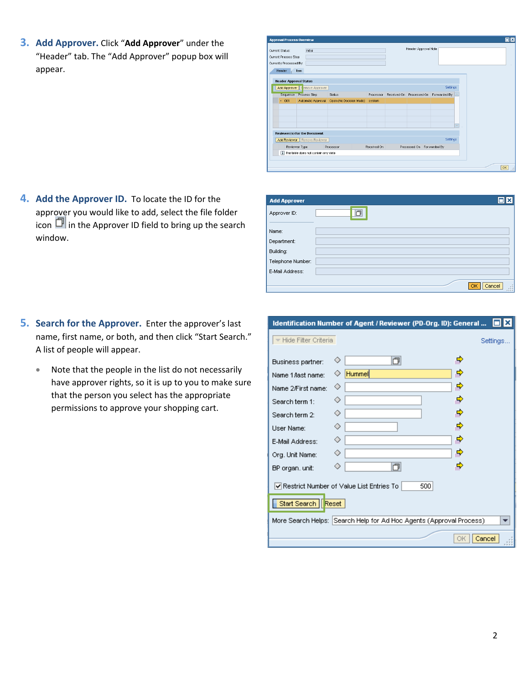**3. Add Approver.** Click "**Add Approver**" under the "Header" tab. The "Add Approver" popup box will appear.

| <b>Approval Process Overview</b>                                                                 |                                |             |                           |                                                   |  | <b>Ox</b> |
|--------------------------------------------------------------------------------------------------|--------------------------------|-------------|---------------------------|---------------------------------------------------|--|-----------|
| Initial<br>Current Status:<br>Current Process Step:<br>Currently Processed By:<br>Header<br>ttem |                                |             | Header Approval Note      |                                                   |  |           |
| <b>Header Approval Status</b>                                                                    |                                |             |                           |                                                   |  |           |
| Add Approver       emove Approver<br>Sequence Process Step                                       | Status                         | Processor   |                           | Settings<br>Received On Processed On Forwarded By |  |           |
| $-001$<br>Automatic Approval                                                                     | Open (No Decision Made) system |             |                           |                                                   |  |           |
|                                                                                                  |                                |             |                           |                                                   |  |           |
|                                                                                                  |                                |             |                           |                                                   |  |           |
| Reviewer(s) for the Document                                                                     |                                |             |                           |                                                   |  |           |
| Add Reviewer   Remove Reviewer                                                                   |                                |             |                           | Settinas                                          |  |           |
| Reviewer Type                                                                                    | Processor                      | Received On | Processed On Forwarded By |                                                   |  |           |
| The table does not contain any data                                                              |                                |             |                           |                                                   |  |           |
|                                                                                                  |                                |             |                           |                                                   |  | OK<br>.ä  |

**4. Add the Approver ID.** To locate the ID for the approver you would like to add, select the file folder icon  $\Box$  in the Approver ID field to bring up the search window.

| O<br>Approver ID:<br>Name:<br>Department: | Ы<br>ıх |
|-------------------------------------------|---------|
|                                           |         |
|                                           |         |
|                                           |         |
| Building:                                 |         |
| Telephone Number:                         |         |
| E-Mail Address:                           |         |
| Cancel  <br>ΩK                            | .       |

- **5. Search for the Approver.** Enter the approver's last name, first name, or both, and then click "Start Search." A list of people will appear.
	- Note that the people in the list do not necessarily have approver rights, so it is up to you to make sure that the person you select has the appropriate permissions to approve your shopping cart.

|                        | Identification Number of Agent / Reviewer (PD-Org. ID): General     | l⊡I×l     |
|------------------------|---------------------------------------------------------------------|-----------|
| - Hide Filter Criteria |                                                                     | Settings. |
| Business partner:      | ⇨<br>O<br>◇                                                         |           |
| Name 1 Aast name:      | ⇨<br>Hummel<br>◇                                                    |           |
| Name 2/First name:     | ₿<br>◇                                                              |           |
| Search term 1:         | $\Rightarrow$<br>◇                                                  |           |
| Search term 2:         | ⇨<br>◇                                                              |           |
| User Name:             | ⇨<br>◇                                                              |           |
| E-Mail Address:        | ⇨<br>◇                                                              |           |
| Org. Unit Name:        | ⇨<br>◇                                                              |           |
| BP organ, unit:        | ⇨<br>Ō<br>◇                                                         |           |
|                        | 500<br>√ Restrict Number of Value List Entries To                   |           |
| Start Search<br>Reset  |                                                                     |           |
|                        | More Search Helps: Search Help for Ad Hoc Agents (Approval Process) |           |
|                        | ОК                                                                  | Cancel    |